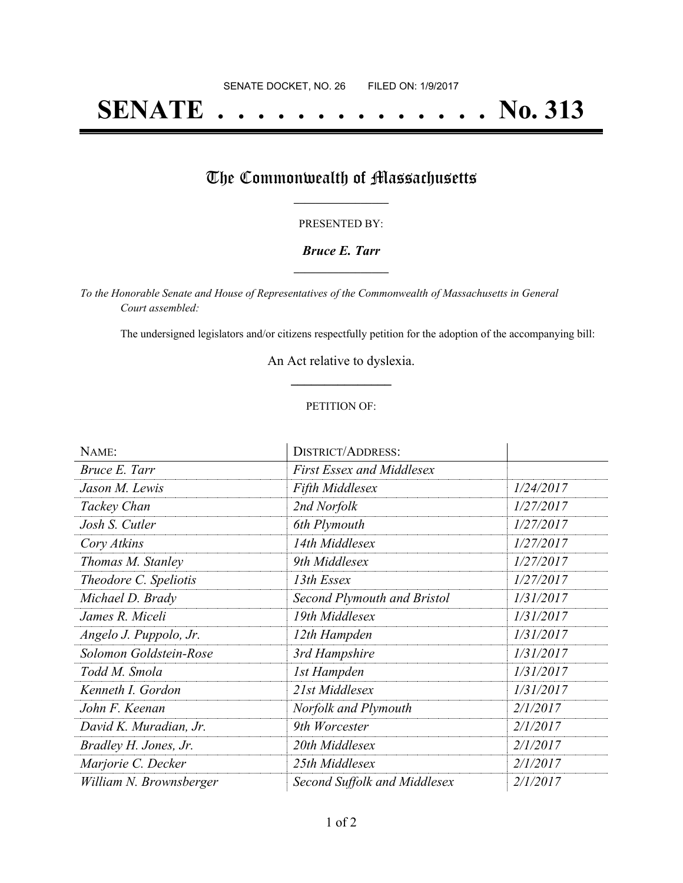# **SENATE . . . . . . . . . . . . . . No. 313**

## The Commonwealth of Massachusetts

#### PRESENTED BY:

#### *Bruce E. Tarr* **\_\_\_\_\_\_\_\_\_\_\_\_\_\_\_\_\_**

*To the Honorable Senate and House of Representatives of the Commonwealth of Massachusetts in General Court assembled:*

The undersigned legislators and/or citizens respectfully petition for the adoption of the accompanying bill:

An Act relative to dyslexia. **\_\_\_\_\_\_\_\_\_\_\_\_\_\_\_**

#### PETITION OF:

| NAME:                   | <b>DISTRICT/ADDRESS:</b>           |           |
|-------------------------|------------------------------------|-----------|
| Bruce E. Tarr           | <b>First Essex and Middlesex</b>   |           |
| Jason M. Lewis          | <b>Fifth Middlesex</b>             | 1/24/2017 |
| Tackey Chan             | 2nd Norfolk                        | 1/27/2017 |
| Josh S. Cutler          | 6th Plymouth                       | 1/27/2017 |
| Cory Atkins             | 14th Middlesex                     | 1/27/2017 |
| Thomas M. Stanley       | 9th Middlesex                      | 1/27/2017 |
| Theodore C. Speliotis   | 13th Essex                         | 1/27/2017 |
| Michael D. Brady        | <b>Second Plymouth and Bristol</b> | 1/31/2017 |
| James R. Miceli         | 19th Middlesex                     | 1/31/2017 |
| Angelo J. Puppolo, Jr.  | 12th Hampden                       | 1/31/2017 |
| Solomon Goldstein-Rose  | 3rd Hampshire                      | 1/31/2017 |
| Todd M. Smola           | 1st Hampden                        | 1/31/2017 |
| Kenneth I. Gordon       | 21st Middlesex                     | 1/31/2017 |
| John F. Keenan          | Norfolk and Plymouth               | 2/1/2017  |
| David K. Muradian, Jr.  | 9th Worcester                      | 2/1/2017  |
| Bradley H. Jones, Jr.   | 20th Middlesex                     | 2/1/2017  |
| Marjorie C. Decker      | 25th Middlesex                     | 2/1/2017  |
| William N. Brownsberger | Second Suffolk and Middlesex       | 2/1/2017  |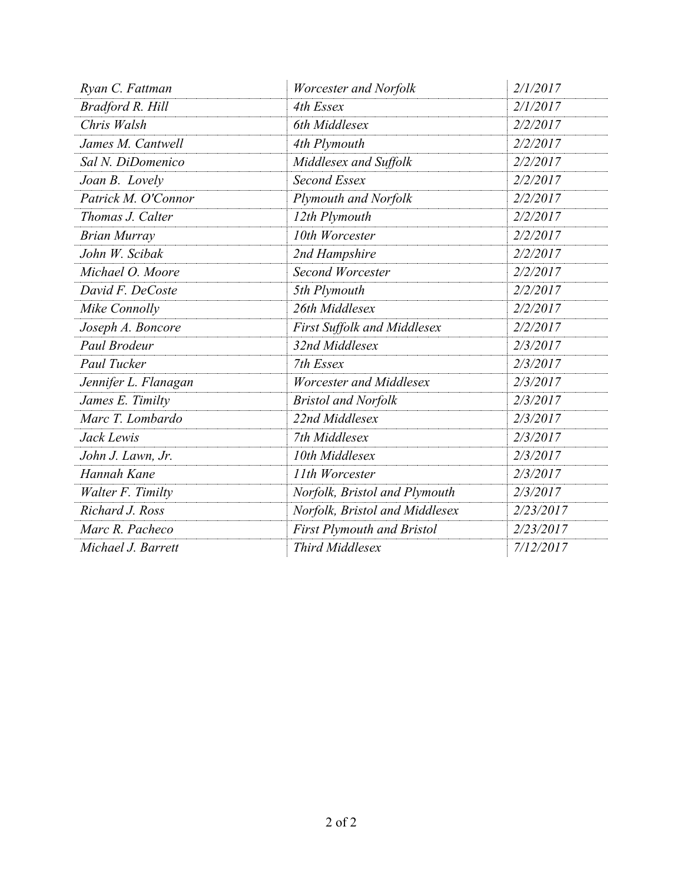| Ryan C. Fattman      | <b>Worcester and Norfolk</b>      | 2/1/2017  |
|----------------------|-----------------------------------|-----------|
| Bradford R. Hill     | 4th Essex                         | 2/1/2017  |
| Chris Walsh          | 6th Middlesex                     | 2/2/2017  |
| James M. Cantwell    | 4th Plymouth                      | 2/2/2017  |
| Sal N. DiDomenico    | Middlesex and Suffolk             | 2/2/2017  |
| Joan B. Lovely       | <b>Second Essex</b>               | 2/2/2017  |
| Patrick M. O'Connor  | Plymouth and Norfolk              | 2/2/2017  |
| Thomas J. Calter     | 12th Plymouth                     | 2/2/2017  |
| <b>Brian Murray</b>  | 10th Worcester                    | 2/2/2017  |
| John W. Scibak       | 2nd Hampshire                     | 2/2/2017  |
| Michael O. Moore     | Second Worcester                  | 2/2/2017  |
| David F. DeCoste     | 5th Plymouth                      | 2/2/2017  |
| Mike Connolly        | 26th Middlesex                    | 2/2/2017  |
| Joseph A. Boncore    | First Suffolk and Middlesex       | 2/2/2017  |
| Paul Brodeur         | 32nd Middlesex                    | 2/3/2017  |
| Paul Tucker          | 7th Essex                         | 2/3/2017  |
| Jennifer L. Flanagan | <b>Worcester and Middlesex</b>    | 2/3/2017  |
| James E. Timilty     | <b>Bristol and Norfolk</b>        | 2/3/2017  |
| Marc T. Lombardo     | 22nd Middlesex                    | 2/3/2017  |
| Jack Lewis           | 7th Middlesex                     | 2/3/2017  |
| John J. Lawn, Jr.    | 10th Middlesex                    | 2/3/2017  |
| Hannah Kane          | 11th Worcester                    | 2/3/2017  |
| Walter F. Timilty    | Norfolk, Bristol and Plymouth     | 2/3/2017  |
| Richard J. Ross      | Norfolk, Bristol and Middlesex    | 2/23/2017 |
| Marc R. Pacheco      | <b>First Plymouth and Bristol</b> | 2/23/2017 |
| Michael J. Barrett   | Third Middlesex                   | 7/12/2017 |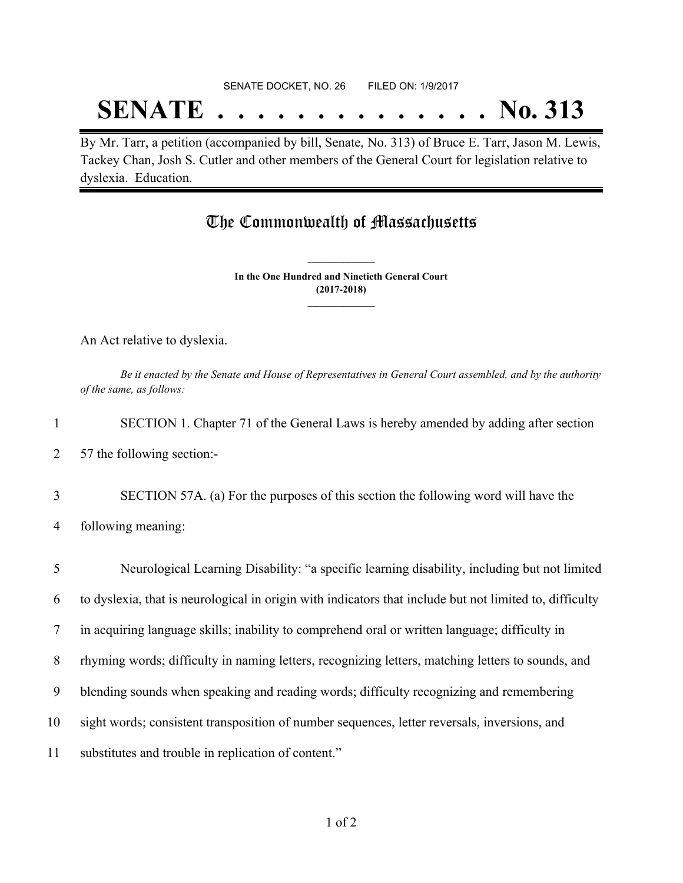#### SENATE DOCKET, NO. 26 FILED ON: 1/9/2017

## **SENATE . . . . . . . . . . . . . . No. 313**

By Mr. Tarr, a petition (accompanied by bill, Senate, No. 313) of Bruce E. Tarr, Jason M. Lewis, Tackey Chan, Josh S. Cutler and other members of the General Court for legislation relative to dyslexia. Education.

### The Commonwealth of Massachusetts

**In the One Hundred and Ninetieth General Court (2017-2018) \_\_\_\_\_\_\_\_\_\_\_\_\_\_\_**

**\_\_\_\_\_\_\_\_\_\_\_\_\_\_\_**

An Act relative to dyslexia.

Be it enacted by the Senate and House of Representatives in General Court assembled, and by the authority *of the same, as follows:*

| SECTION 1. Chapter 71 of the General Laws is hereby amended by adding after section |
|-------------------------------------------------------------------------------------|
| 57 the following section:-                                                          |
| SECTION 57A. (a) For the purposes of this section the following word will have the  |

4 following meaning:

 Neurological Learning Disability: "a specific learning disability, including but not limited to dyslexia, that is neurological in origin with indicators that include but not limited to, difficulty in acquiring language skills; inability to comprehend oral or written language; difficulty in rhyming words; difficulty in naming letters, recognizing letters, matching letters to sounds, and blending sounds when speaking and reading words; difficulty recognizing and remembering sight words; consistent transposition of number sequences, letter reversals, inversions, and substitutes and trouble in replication of content."